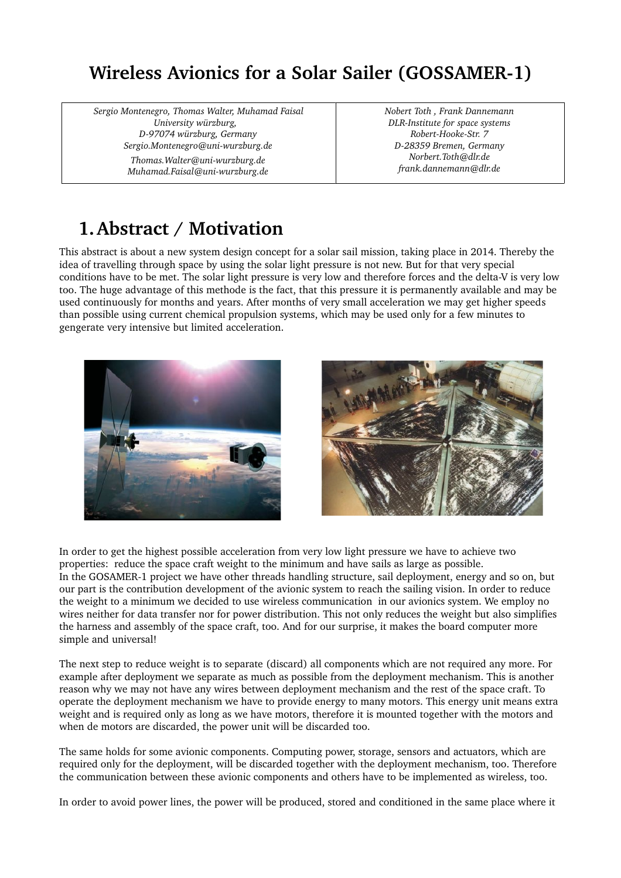# **Wireless Avionics for a Solar Sailer (GOSSAMER1)**

*Sergio Montenegro, Thomas Walter, Muhamad Faisal University würzburg, D97074 würzburg, Germany Sergio.Montenegro@uniwurzburg.de Thomas.Walter@uniwurzburg.de Muhamad.Faisal@uniwurzburg.de*

*Nobert Toth , Frank Dannemann DLRInstitute for space systems* Robert-Hooke-Str. 7 *D28359 Bremen, Germany Norbert.Toth@dlr.de frank.dannemann@dlr.de*

# **1.Abstract / Motivation**

This abstract is about a new system design concept for a solar sail mission, taking place in 2014. Thereby the idea of travelling through space by using the solar light pressure is not new. But for that very special conditions have to be met. The solar light pressure is very low and therefore forces and the delta-V is very low too. The huge advantage of this methode is the fact, that this pressure it is permanently available and may be used continuously for months and years. After months of very small acceleration we may get higher speeds than possible using current chemical propulsion systems, which may be used only for a few minutes to gengerate very intensive but limited acceleration.





In order to get the highest possible acceleration from very low light pressure we have to achieve two properties: reduce the space craft weight to the minimum and have sails as large as possible. In the GOSAMER-1 project we have other threads handling structure, sail deployment, energy and so on, but our part is the contribution development of the avionic system to reach the sailing vision. In order to reduce the weight to a minimum we decided to use wireless communication in our avionics system. We employ no wires neither for data transfer nor for power distribution. This not only reduces the weight but also simplifies the harness and assembly of the space craft, too. And for our surprise, it makes the board computer more simple and universal!

The next step to reduce weight is to separate (discard) all components which are not required any more. For example after deployment we separate as much as possible from the deployment mechanism. This is another reason why we may not have any wires between deployment mechanism and the rest of the space craft. To operate the deployment mechanism we have to provide energy to many motors. This energy unit means extra weight and is required only as long as we have motors, therefore it is mounted together with the motors and when de motors are discarded, the power unit will be discarded too.

The same holds for some avionic components. Computing power, storage, sensors and actuators, which are required only for the deployment, will be discarded together with the deployment mechanism, too. Therefore the communication between these avionic components and others have to be implemented as wireless, too.

In order to avoid power lines, the power will be produced, stored and conditioned in the same place where it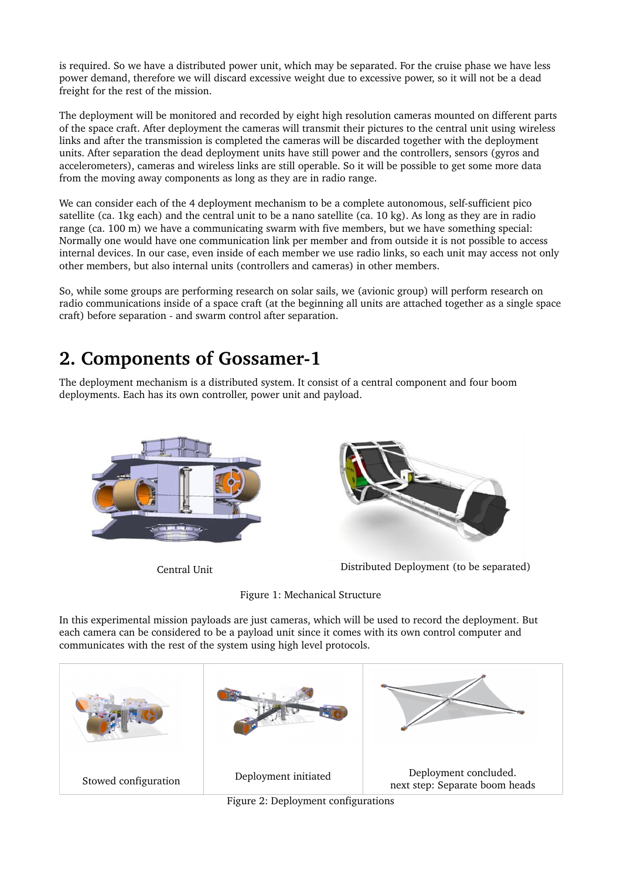is required. So we have a distributed power unit, which may be separated. For the cruise phase we have less power demand, therefore we will discard excessive weight due to excessive power, so it will not be a dead freight for the rest of the mission.

The deployment will be monitored and recorded by eight high resolution cameras mounted on different parts of the space craft. After deployment the cameras will transmit their pictures to the central unit using wireless links and after the transmission is completed the cameras will be discarded together with the deployment units. After separation the dead deployment units have still power and the controllers, sensors (gyros and accelerometers), cameras and wireless links are still operable. So it will be possible to get some more data from the moving away components as long as they are in radio range.

We can consider each of the 4 deployment mechanism to be a complete autonomous, self-sufficient pico satellite (ca. 1kg each) and the central unit to be a nano satellite (ca. 10 kg). As long as they are in radio range (ca. 100 m) we have a communicating swarm with five members, but we have something special: Normally one would have one communication link per member and from outside it is not possible to access internal devices. In our case, even inside of each member we use radio links, so each unit may access not only other members, but also internal units (controllers and cameras) in other members.

So, while some groups are performing research on solar sails, we (avionic group) will perform research on radio communications inside of a space craft (at the beginning all units are attached together as a single space craft) before separation - and swarm control after separation.

### **2. Components of Gossamer-1**

The deployment mechanism is a distributed system. It consist of a central component and four boom deployments. Each has its own controller, power unit and payload.





Central Unit Distributed Deployment (to be separated)



In this experimental mission payloads are just cameras, which will be used to record the deployment. But each camera can be considered to be a payload unit since it comes with its own control computer and communicates with the rest of the system using high level protocols.



Figure 2: Deployment configurations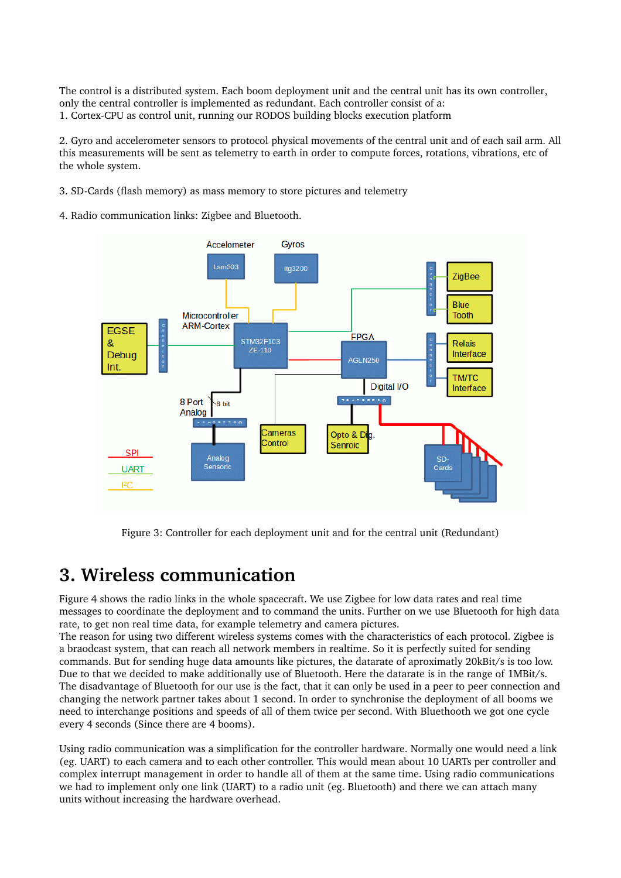The control is a distributed system. Each boom deployment unit and the central unit has its own controller, only the central controller is implemented as redundant. Each controller consist of a: 1. Cortex-CPU as control unit, running our RODOS building blocks execution platform

2. Gyro and accelerometer sensors to protocol physical movements of the central unit and of each sail arm. All this measurements will be sent as telemetry to earth in order to compute forces, rotations, vibrations, etc of the whole system.

3. SD-Cards (flash memory) as mass memory to store pictures and telemetry

4. Radio communication links: Zigbee and Bluetooth.



Figure 3: Controller for each deployment unit and for the central unit (Redundant)

#### **3. Wireless communication**

Figure 4 shows the radio links in the whole spacecraft. We use Zigbee for low data rates and real time messages to coordinate the deployment and to command the units. Further on we use Bluetooth for high data rate, to get non real time data, for example telemetry and camera pictures.

The reason for using two different wireless systems comes with the characteristics of each protocol. Zigbee is a braodcast system, that can reach all network members in realtime. So it is perfectly suited for sending commands. But for sending huge data amounts like pictures, the datarate of aproximatly 20kBit/s is too low. Due to that we decided to make additionally use of Bluetooth. Here the datarate is in the range of 1MBit/s. The disadvantage of Bluetooth for our use is the fact, that it can only be used in a peer to peer connection and changing the network partner takes about 1 second. In order to synchronise the deployment of all booms we need to interchange positions and speeds of all of them twice per second. With Bluethooth we got one cycle every 4 seconds (Since there are 4 booms).

Using radio communication was a simplification for the controller hardware. Normally one would need a link (eg. UART) to each camera and to each other controller. This would mean about 10 UARTs per controller and complex interrupt management in order to handle all of them at the same time. Using radio communications we had to implement only one link (UART) to a radio unit (eg. Bluetooth) and there we can attach many units without increasing the hardware overhead.